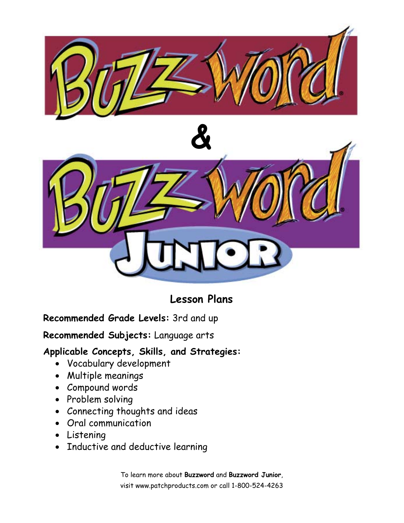

## **Lesson Plans**

### **Recommended Grade Levels:** 3rd and up

**Recommended Subjects:** Language arts

### **Applicable Concepts, Skills, and Strategies:**

- Vocabulary development
- Multiple meanings
- Compound words
- Problem solving
- Connecting thoughts and ideas
- Oral communication
- Listening
- Inductive and deductive learning

To learn more about **Buzzword** and **Buzzword Junior**, visit www.patchproducts.com or call 1-800-524-4263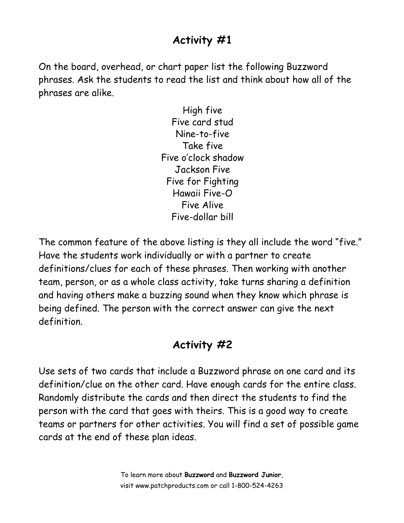# **Activity #1**

On the board, overhead, or chart paper list the following Buzzword phrases. Ask the students to read the list and think about how all of the phrases are alike.

> High five Five card stud Nine-to-five Take five Five o'clock shadow Jackson Five Five for Fighting Hawaii Five-O Five Alive Five-dollar bill

The common feature of the above listing is they all include the word "five." Have the students work individually or with a partner to create definitions/clues for each of these phrases. Then working with another team, person, or as a whole class activity, take turns sharing a definition and having others make a buzzing sound when they know which phrase is being defined. The person with the correct answer can give the next definition.

# **Activity #2**

Use sets of two cards that include a Buzzword phrase on one card and its definition/clue on the other card. Have enough cards for the entire class. Randomly distribute the cards and then direct the students to find the person with the card that goes with theirs. This is a good way to create teams or partners for other activities. You will find a set of possible game cards at the end of these plan ideas.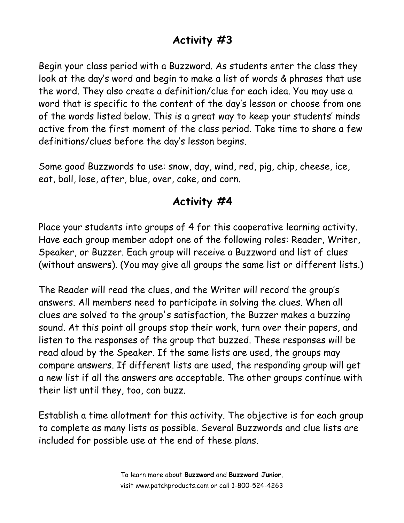# **Activity #3**

Begin your class period with a Buzzword. As students enter the class they look at the day's word and begin to make a list of words & phrases that use the word. They also create a definition/clue for each idea. You may use a word that is specific to the content of the day's lesson or choose from one of the words listed below. This is a great way to keep your students' minds active from the first moment of the class period. Take time to share a few definitions/clues before the day's lesson begins.

Some good Buzzwords to use: snow, day, wind, red, pig, chip, cheese, ice, eat, ball, lose, after, blue, over, cake, and corn.

## **Activity #4**

Place your students into groups of 4 for this cooperative learning activity. Have each group member adopt one of the following roles: Reader, Writer, Speaker, or Buzzer. Each group will receive a Buzzword and list of clues (without answers). (You may give all groups the same list or different lists.)

The Reader will read the clues, and the Writer will record the group's answers. All members need to participate in solving the clues. When all clues are solved to the group's satisfaction, the Buzzer makes a buzzing sound. At this point all groups stop their work, turn over their papers, and listen to the responses of the group that buzzed. These responses will be read aloud by the Speaker. If the same lists are used, the groups may compare answers. If different lists are used, the responding group will get a new list if all the answers are acceptable. The other groups continue with their list until they, too, can buzz.

Establish a time allotment for this activity. The objective is for each group to complete as many lists as possible. Several Buzzwords and clue lists are included for possible use at the end of these plans.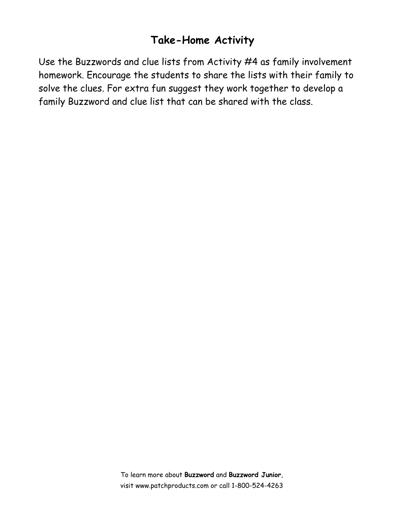## **Take-Home Activity**

Use the Buzzwords and clue lists from Activity #4 as family involvement homework. Encourage the students to share the lists with their family to solve the clues. For extra fun suggest they work together to develop a family Buzzword and clue list that can be shared with the class.

> To learn more about **Buzzword** and **Buzzword Junior**, visit www.patchproducts.com or call 1-800-524-4263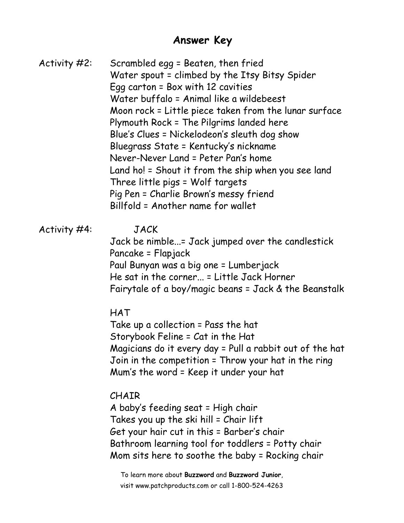### **Answer Key**

Activity #2: Scrambled egg = Beaten, then fried Water spout = climbed by the Itsy Bitsy Spider Egg carton = Box with 12 cavities Water buffalo = Animal like a wildebeest Moon rock = Little piece taken from the lunar surface Plymouth Rock = The Pilgrims landed here Blue's Clues = Nickelodeon's sleuth dog show Bluegrass State = Kentucky's nickname Never-Never Land = Peter Pan's home Land ho! = Shout it from the ship when you see land Three little pigs = Wolf targets Pig Pen = Charlie Brown's messy friend Billfold = Another name for wallet

#### Activity #4: JACK

 Jack be nimble...= Jack jumped over the candlestick Pancake = Flapjack Paul Bunyan was a big one = Lumberjack He sat in the corner... = Little Jack Horner Fairytale of a boy/magic beans = Jack & the Beanstalk

HAT

 Take up a collection = Pass the hat Storybook Feline = Cat in the Hat Magicians do it every day = Pull a rabbit out of the hat Join in the competition = Throw your hat in the ring Mum's the word = Keep it under your hat

#### CHAIR

 A baby's feeding seat = High chair Takes you up the ski hill = Chair lift Get your hair cut in this = Barber's chair Bathroom learning tool for toddlers = Potty chair Mom sits here to soothe the baby = Rocking chair

To learn more about **Buzzword** and **Buzzword Junior**, visit www.patchproducts.com or call 1-800-524-4263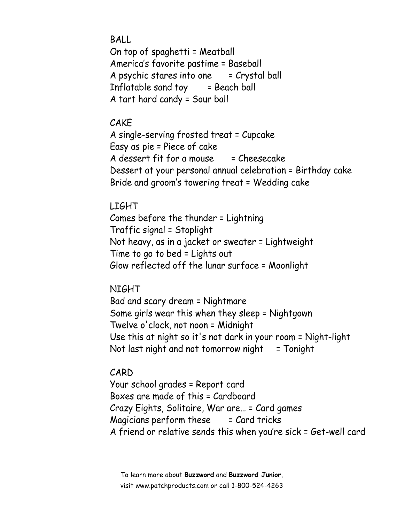BALL On top of spaghetti = Meatball America's favorite pastime = Baseball A psychic stares into one  $=$  Crystal ball Inflatable sand toy  $=$  Beach ball A tart hard candy = Sour ball

#### CAKE

 A single-serving frosted treat = Cupcake Easy as pie = Piece of cake A dessert fit for a mouse  $=$  Cheesecake Dessert at your personal annual celebration = Birthday cake Bride and groom's towering treat = Wedding cake

#### LIGHT

 Comes before the thunder = Lightning Traffic signal = Stoplight Not heavy, as in a jacket or sweater = Lightweight Time to go to bed = Lights out Glow reflected off the lunar surface = Moonlight

#### NIGHT

 Bad and scary dream = Nightmare Some girls wear this when they sleep = Nightgown Twelve o'clock, not noon = Midnight Use this at night so it's not dark in your room = Night-light Not last night and not tomorrow night  $=$  Tonight

#### CARD

 Your school grades = Report card Boxes are made of this = Cardboard Crazy Eights, Solitaire, War are… = Card games  $M$ agicians perform these  $=$  Card tricks A friend or relative sends this when you're sick = Get-well card